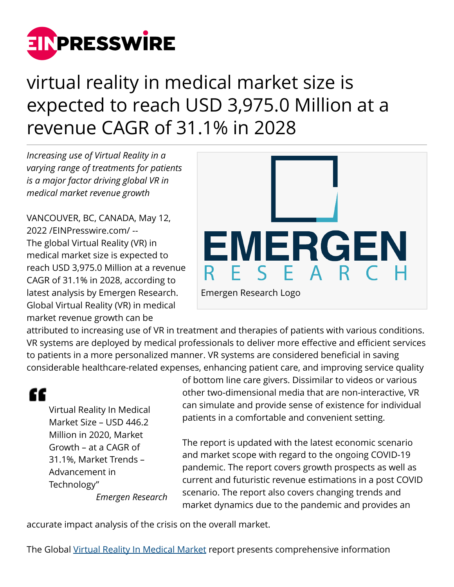

# virtual reality in medical market size is expected to reach USD 3,975.0 Million at a revenue CAGR of 31.1% in 2028

*Increasing use of Virtual Reality in a varying range of treatments for patients is a major factor driving global VR in medical market revenue growth*

VANCOUVER, BC, CANADA, May 12, 2022 /[EINPresswire.com](http://www.einpresswire.com)/ -- The global Virtual Reality (VR) in medical market size is expected to reach USD 3,975.0 Million at a revenue CAGR of 31.1% in 2028, according to latest analysis by Emergen Research. Global Virtual Reality (VR) in medical market revenue growth can be



attributed to increasing use of VR in treatment and therapies of patients with various conditions. VR systems are deployed by medical professionals to deliver more effective and efficient services to patients in a more personalized manner. VR systems are considered beneficial in saving considerable healthcare-related expenses, enhancing patient care, and improving service quality

# "

Virtual Reality In Medical Market Size – USD 446.2 Million in 2020, Market Growth – at a CAGR of 31.1%, Market Trends – Advancement in Technology" *Emergen Research* of bottom line care givers. Dissimilar to videos or various other two-dimensional media that are non-interactive, VR can simulate and provide sense of existence for individual patients in a comfortable and convenient setting.

The report is updated with the latest economic scenario and market scope with regard to the ongoing COVID-19 pandemic. The report covers growth prospects as well as current and futuristic revenue estimations in a post COVID scenario. The report also covers changing trends and market dynamics due to the pandemic and provides an

accurate impact analysis of the crisis on the overall market.

The Global [Virtual Reality In Medical Market](https://www.emergenresearch.com/industry-report/virtual-reality-in-medical-market) report presents comprehensive information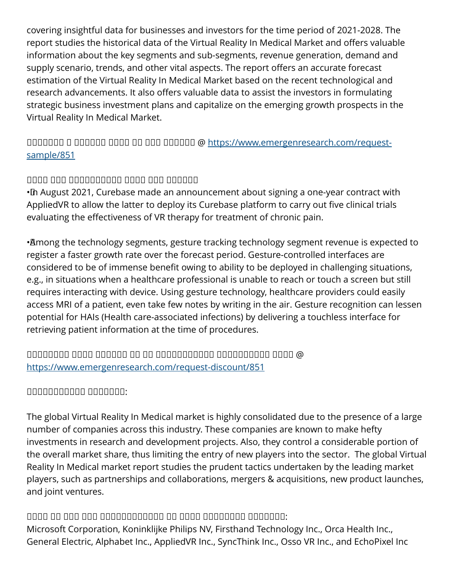covering insightful data for businesses and investors for the time period of 2021-2028. The report studies the historical data of the Virtual Reality In Medical Market and offers valuable information about the key segments and sub-segments, revenue generation, demand and supply scenario, trends, and other vital aspects. The report offers an accurate forecast estimation of the Virtual Reality In Medical Market based on the recent technological and research advancements. It also offers valuable data to assist the investors in formulating strategic business investment plans and capitalize on the emerging growth prospects in the Virtual Reality In Medical Market.

# ᵁᵁᵂᵂᵁᵂᵂ ᵁ ᵂᵁᵂᵂᵂᵁ ᵁᵂᵂᵃ ᵂᵁ ᵂᵂᵁ ᵂᵁᵂᵂᵂᵂ @ [https://www.emergenresearch.com/request](https://www.emergenresearch.com/request-sample/851)[sample/851](https://www.emergenresearch.com/request-sample/851)

# $\Box$

• In August 2021, Curebase made an announcement about signing a one-year contract with AppliedVR to allow the latter to deploy its Curebase platform to carry out five clinical trials evaluating the effectiveness of VR therapy for treatment of chronic pain.

• Among the technology segments, gesture tracking technology segment revenue is expected to register a faster growth rate over the forecast period. Gesture-controlled interfaces are considered to be of immense benefit owing to ability to be deployed in challenging situations, e.g., in situations when a healthcare professional is unable to reach or touch a screen but still requires interacting with device. Using gesture technology, healthcare providers could easily access MRI of a patient, even take few notes by writing in the air. Gesture recognition can lessen potential for HAIs (Health care-associated infections) by delivering a touchless interface for retrieving patient information at the time of procedures.

# $\Box$ <https://www.emergenresearch.com/request-discount/851>

# $\Box$

The global Virtual Reality In Medical market is highly consolidated due to the presence of a large number of companies across this industry. These companies are known to make hefty investments in research and development projects. Also, they control a considerable portion of the overall market share, thus limiting the entry of new players into the sector. The global Virtual Reality In Medical market report studies the prudent tactics undertaken by the leading market players, such as partnerships and collaborations, mergers & acquisitions, new product launches, and joint ventures.

# $\Box$

Microsoft Corporation, Koninklijke Philips NV, Firsthand Technology Inc., Orca Health Inc., General Electric, Alphabet Inc., AppliedVR Inc., SyncThink Inc., Osso VR Inc., and EchoPixel Inc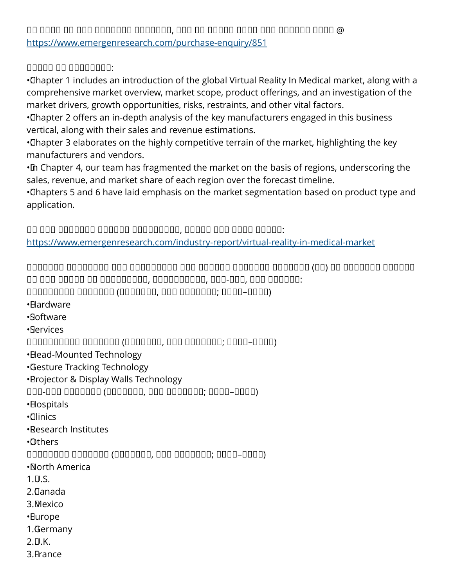$\Box$ <https://www.emergenresearch.com/purchase-enquiry/851>

#### ᵁᵁᵁᵂᵁ ᵂᵁ ᵀᵂᵂᵂᵁᵂᵂᵂ:

• Chapter 1 includes an introduction of the global Virtual Reality In Medical market, along with a comprehensive market overview, market scope, product offerings, and an investigation of the market drivers, growth opportunities, risks, restraints, and other vital factors.

• Chapter 2 offers an in-depth analysis of the key manufacturers engaged in this business vertical, along with their sales and revenue estimations.

• Chapter 3 elaborates on the highly competitive terrain of the market, highlighting the key manufacturers and vendors.

• In Chapter 4, our team has fragmented the market on the basis of regions, underscoring the sales, revenue, and market share of each region over the forecast timeline.

• Chapters 5 and 6 have laid emphasis on the market segmentation based on product type and application.

 $\Box$ <https://www.emergenresearch.com/industry-report/virtual-reality-in-medical-market>

 $\Box$ ᵂᵂ ᵂᵂᵁ ᵁᵁᵂᵂᵂ ᵂᵁ ᵁᵂᵂᵂᵂᵂᵁᵂᵂ, ᵂᵁᵁᵂᵂᵂᵂᵂᵂᵃ, ᵁᵂᵁ-ᵂᵂᵁ, ᵁᵂᵁ ᵂᵁᵂᵂᵂᵂ: ᵀᵂᵂᵂᵂᵂᵁᵂᵂ ᵀᵂᵂᵂᵂᵂᵂ (ᵁᵁᵂᵁᵂᵂᵁ, ᵁᵁᵀ ᵀᵂᵂᵂᵂᵂᵂ; ᵽᵼᵼᵽ–ᵽᵼᵽᵽ)

• Hardware

• Software

• Services

ᵁᵁᵁᵂᵂᵂᵂᵂᵂᵃ ᵀᵂᵂᵂᵂᵂᵂ (ᵁᵁᵂᵁᵂᵂᵁ, ᵁᵁᵀ ᵀᵂᵂᵂᵂᵂᵂ; ᵽᵼᵼᵽ–ᵽᵼᵽᵽ)

• Head-Mounted Technology

• Gesture Tracking Technology

• Projector & Display Walls Technology

ᵀᵂᵁ-ᵁᵂᵁ ᵀᵂᵂᵂᵂᵂᵂ (ᵁᵁᵂᵁᵂᵂᵁ, ᵁᵁᵀ ᵀᵂᵂᵂᵂᵂᵂ; ᵽᵼᵼᵽ–ᵽᵼᵽᵽ)

• Hospitals

• Clinics

• Research Institutes

• Others

ᵁᵁᵂᵂᵂᵂᵁᵂ ᵀᵂᵂᵂᵂᵂᵂ (ᵁᵁᵂᵁᵂᵂᵁ, ᵁᵁᵀ ᵀᵂᵂᵂᵂᵂᵂ; ᵽᵼᵼᵽ–ᵽᵼᵽᵽ)

• North America

 $1.$  $\Pi$ . S.

2. Canada

3. Mexico

• Europe

1. Germany

 $2.$  $\n *U.K.*\n$ 

3. France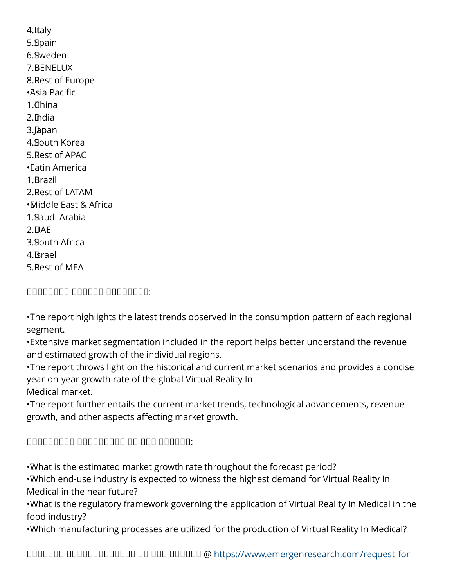4. Italy 5. Spain 6. Sweden 7. BENELUX 8. Rest of Europe • Asia Pacific  $1.$ Thina 2. India 3. Japan 4. South Korea 5. Rest of APAC • Latin America 1. Brazil 2. Rest of LATAM • Middle East & Africa 1. Saudi Arabia  $2.$  $\blacksquare$ AE 3. South Africa 4. Israel 5. Rest of MEA

ᵁᵁᵂᵂᵁᵁᵂᵁ ᵀᵁᵂᵂᵁᵂ ᵀᵂᵂᵂᵂᵂᵂᵂ:

• The report highlights the latest trends observed in the consumption pattern of each regional segment.

• Extensive market segmentation included in the report helps better understand the revenue and estimated growth of the individual regions.

• The report throws light on the historical and current market scenarios and provides a concise year-on-year growth rate of the global Virtual Reality In Medical market.

• The report further entails the current market trends, technological advancements, revenue growth, and other aspects affecting market growth.

# $\Box$

• What is the estimated market growth rate throughout the forecast period?

• Which end-use industry is expected to witness the highest demand for Virtual Reality In Medical in the near future?

• What is the regulatory framework governing the application of Virtual Reality In Medical in the food industry?

• Which manufacturing processes are utilized for the production of Virtual Reality In Medical?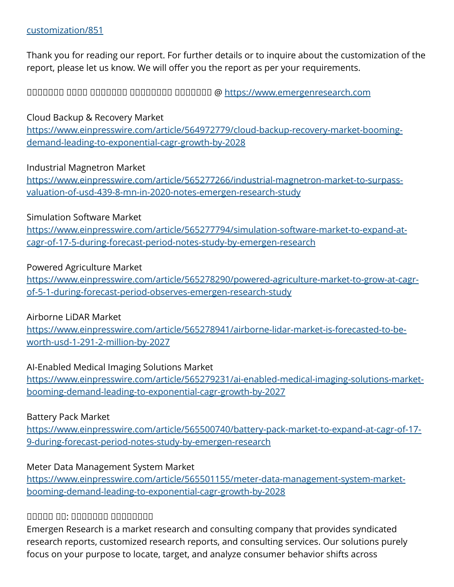#### [customization/851](https://www.emergenresearch.com/request-for-customization/851)

Thank you for reading our report. For further details or to inquire about the customization of the report, please let us know. We will offer you the report as per your requirements.

ᵀᵃᵂᵂᵂᵂᵁ ᵂᵂᵂᵁ ᵀᵂᵁᵂᵂᵁᵂ ᵁᵁᵂᵁᵁᵂᵁᵂ ᵁᵁᵂᵂᵂᵂᵂ @<https://www.emergenresearch.com>

#### Cloud Backup & Recovery Market

[https://www.einpresswire.com/article/564972779/cloud-backup-recovery-market-booming](https://www.einpresswire.com/article/564972779/cloud-backup-recovery-market-booming-demand-leading-to-exponential-cagr-growth-by-2028)[demand-leading-to-exponential-cagr-growth-by-2028](https://www.einpresswire.com/article/564972779/cloud-backup-recovery-market-booming-demand-leading-to-exponential-cagr-growth-by-2028)

#### Industrial Magnetron Market

[https://www.einpresswire.com/article/565277266/industrial-magnetron-market-to-surpass](https://www.einpresswire.com/article/565277266/industrial-magnetron-market-to-surpass-valuation-of-usd-439-8-mn-in-2020-notes-emergen-research-study)[valuation-of-usd-439-8-mn-in-2020-notes-emergen-research-study](https://www.einpresswire.com/article/565277266/industrial-magnetron-market-to-surpass-valuation-of-usd-439-8-mn-in-2020-notes-emergen-research-study)

#### Simulation Software Market

[https://www.einpresswire.com/article/565277794/simulation-software-market-to-expand-at](https://www.einpresswire.com/article/565277794/simulation-software-market-to-expand-at-cagr-of-17-5-during-forecast-period-notes-study-by-emergen-research)[cagr-of-17-5-during-forecast-period-notes-study-by-emergen-research](https://www.einpresswire.com/article/565277794/simulation-software-market-to-expand-at-cagr-of-17-5-during-forecast-period-notes-study-by-emergen-research)

#### Powered Agriculture Market

[https://www.einpresswire.com/article/565278290/powered-agriculture-market-to-grow-at-cagr](https://www.einpresswire.com/article/565278290/powered-agriculture-market-to-grow-at-cagr-of-5-1-during-forecast-period-observes-emergen-research-study)[of-5-1-during-forecast-period-observes-emergen-research-study](https://www.einpresswire.com/article/565278290/powered-agriculture-market-to-grow-at-cagr-of-5-1-during-forecast-period-observes-emergen-research-study)

#### Airborne LiDAR Market

[https://www.einpresswire.com/article/565278941/airborne-lidar-market-is-forecasted-to-be](https://www.einpresswire.com/article/565278941/airborne-lidar-market-is-forecasted-to-be-worth-usd-1-291-2-million-by-2027)[worth-usd-1-291-2-million-by-2027](https://www.einpresswire.com/article/565278941/airborne-lidar-market-is-forecasted-to-be-worth-usd-1-291-2-million-by-2027)

#### AI-Enabled Medical Imaging Solutions Market

[https://www.einpresswire.com/article/565279231/ai-enabled-medical-imaging-solutions-market](https://www.einpresswire.com/article/565279231/ai-enabled-medical-imaging-solutions-market-booming-demand-leading-to-exponential-cagr-growth-by-2027)[booming-demand-leading-to-exponential-cagr-growth-by-2027](https://www.einpresswire.com/article/565279231/ai-enabled-medical-imaging-solutions-market-booming-demand-leading-to-exponential-cagr-growth-by-2027)

#### Battery Pack Market

[https://www.einpresswire.com/article/565500740/battery-pack-market-to-expand-at-cagr-of-17-](https://www.einpresswire.com/article/565500740/battery-pack-market-to-expand-at-cagr-of-17-9-during-forecast-period-notes-study-by-emergen-research) [9-during-forecast-period-notes-study-by-emergen-research](https://www.einpresswire.com/article/565500740/battery-pack-market-to-expand-at-cagr-of-17-9-during-forecast-period-notes-study-by-emergen-research)

#### Meter Data Management System Market

[https://www.einpresswire.com/article/565501155/meter-data-management-system-market](https://www.einpresswire.com/article/565501155/meter-data-management-system-market-booming-demand-leading-to-exponential-cagr-growth-by-2028)[booming-demand-leading-to-exponential-cagr-growth-by-2028](https://www.einpresswire.com/article/565501155/meter-data-management-system-market-booming-demand-leading-to-exponential-cagr-growth-by-2028)

#### ᵀᵁᵂᵂᵂ ᵁᵂ: ᵀᵂᵁᵂᵂᵁᵂ ᵁᵁᵂᵁᵁᵂᵁᵂ

Emergen Research is a market research and consulting company that provides syndicated research reports, customized research reports, and consulting services. Our solutions purely focus on your purpose to locate, target, and analyze consumer behavior shifts across